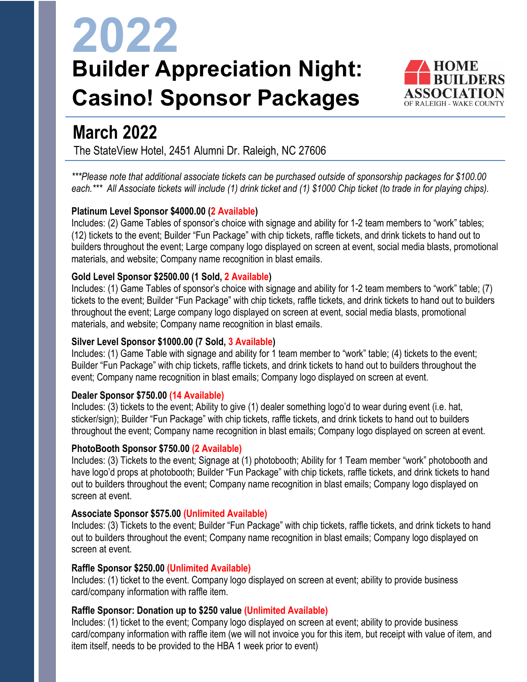# **2022 Builder Appreciation Night: Casino! Sponsor Packages**



### **March 2022**

The StateView Hotel, 2451 Alumni Dr. Raleigh, NC 27606

*\*\*\*Please note that additional associate tickets can be purchased outside of sponsorship packages for \$100.00 each.\*\*\* All Associate tickets will include (1) drink ticket and (1) \$1000 Chip ticket (to trade in for playing chips).* 

#### **Platinum Level Sponsor \$4000.00 (2 Available)**

Includes: (2) Game Tables of sponsor's choice with signage and ability for 1-2 team members to "work" tables; (12) tickets to the event; Builder "Fun Package" with chip tickets, raffle tickets, and drink tickets to hand out to builders throughout the event; Large company logo displayed on screen at event, social media blasts, promotional materials, and website; Company name recognition in blast emails.

#### **Gold Level Sponsor \$2500.00 (1 Sold, 2 Available)**

Includes: (1) Game Tables of sponsor's choice with signage and ability for 1-2 team members to "work" table; (7) tickets to the event; Builder "Fun Package" with chip tickets, raffle tickets, and drink tickets to hand out to builders throughout the event; Large company logo displayed on screen at event, social media blasts, promotional materials, and website; Company name recognition in blast emails.

#### **Silver Level Sponsor \$1000.00 (7 Sold, 3 Available)**

Includes: (1) Game Table with signage and ability for 1 team member to "work" table; (4) tickets to the event; Builder "Fun Package" with chip tickets, raffle tickets, and drink tickets to hand out to builders throughout the event; Company name recognition in blast emails; Company logo displayed on screen at event.

#### **Dealer Sponsor \$750.00 (14 Available)**

Includes: (3) tickets to the event; Ability to give (1) dealer something logo'd to wear during event (i.e. hat, sticker/sign); Builder "Fun Package" with chip tickets, raffle tickets, and drink tickets to hand out to builders throughout the event; Company name recognition in blast emails; Company logo displayed on screen at event.

#### **PhotoBooth Sponsor \$750.00 (2 Available)**

Includes: (3) Tickets to the event; Signage at (1) photobooth; Ability for 1 Team member "work" photobooth and have logo'd props at photobooth; Builder "Fun Package" with chip tickets, raffle tickets, and drink tickets to hand out to builders throughout the event; Company name recognition in blast emails; Company logo displayed on screen at event.

#### **Associate Sponsor \$575.00 (Unlimited Available)**

Includes: (3) Tickets to the event; Builder "Fun Package" with chip tickets, raffle tickets, and drink tickets to hand out to builders throughout the event; Company name recognition in blast emails; Company logo displayed on screen at event.

#### **Raffle Sponsor \$250.00 (Unlimited Available)**

Includes: (1) ticket to the event. Company logo displayed on screen at event; ability to provide business card/company information with raffle item.

#### **Raffle Sponsor: Donation up to \$250 value (Unlimited Available)**

Includes: (1) ticket to the event; Company logo displayed on screen at event; ability to provide business card/company information with raffle item (we will not invoice you for this item, but receipt with value of item, and item itself, needs to be provided to the HBA 1 week prior to event)